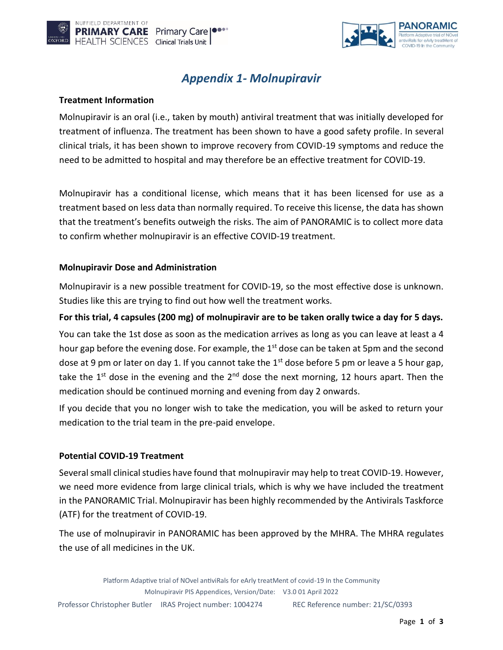



# *Appendix 1- Molnupiravir*

### **Treatment Information**

Molnupiravir is an oral (i.e., taken by mouth) antiviral treatment that was initially developed for treatment of influenza. The treatment has been shown to have a good safety profile. In several clinical trials, it has been shown to improve recovery from COVID-19 symptoms and reduce the need to be admitted to hospital and may therefore be an effective treatment for COVID-19.

Molnupiravir has a conditional license, which means that it has been licensed for use as a treatment based on less data than normally required. To receive this license, the data has shown that the treatment's benefits outweigh the risks. The aim of PANORAMIC is to collect more data to confirm whether molnupiravir is an effective COVID-19 treatment.

### **Molnupiravir Dose and Administration**

Molnupiravir is a new possible treatment for COVID-19, so the most effective dose is unknown. Studies like this are trying to find out how well the treatment works.

## **For this trial, 4 capsules (200 mg) of molnupiravir are to be taken orally twice a day for 5 days.**

You can take the 1st dose as soon as the medication arrives as long as you can leave at least a 4 hour gap before the evening dose. For example, the  $1<sup>st</sup>$  dose can be taken at 5pm and the second dose at 9 pm or later on day 1. If you cannot take the  $1<sup>st</sup>$  dose before 5 pm or leave a 5 hour gap, take the 1<sup>st</sup> dose in the evening and the  $2<sup>nd</sup>$  dose the next morning, 12 hours apart. Then the medication should be continued morning and evening from day 2 onwards.

If you decide that you no longer wish to take the medication, you will be asked to return your medication to the trial team in the pre-paid envelope.

### **Potential COVID-19 Treatment**

Several small clinical studies have found that molnupiravir may help to treat COVID-19. However, we need more evidence from large clinical trials, which is why we have included the treatment in the PANORAMIC Trial. Molnupiravir has been highly recommended by the Antivirals Taskforce (ATF) for the treatment of COVID-19.

The use of molnupiravir in PANORAMIC has been approved by the MHRA. The MHRA regulates the use of all medicines in the UK.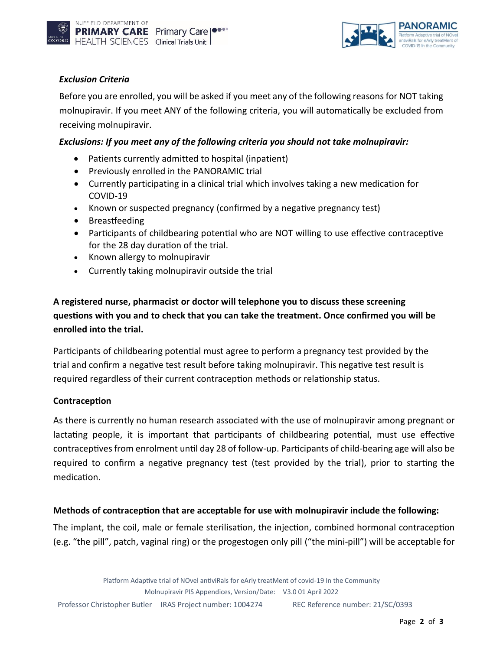



# *Exclusion Criteria*

Before you are enrolled, you will be asked if you meet any of the following reasons for NOT taking molnupiravir. If you meet ANY of the following criteria, you will automatically be excluded from receiving molnupiravir.

### *Exclusions: If you meet any of the following criteria you should not take molnupiravir:*

- Patients currently admitted to hospital (inpatient)
- Previously enrolled in the PANORAMIC trial
- Currently participating in a clinical trial which involves taking a new medication for COVID-19
- Known or suspected pregnancy (confirmed by a negative pregnancy test)
- Breastfeeding
- Participants of childbearing potential who are NOT willing to use effective contraceptive for the 28 day duration of the trial.
- Known allergy to molnupiravir
- Currently taking molnupiravir outside the trial

# **A registered nurse, pharmacist or doctor will telephone you to discuss these screening questions with you and to check that you can take the treatment. Once confirmed you will be enrolled into the trial.**

Participants of childbearing potential must agree to perform a pregnancy test provided by the trial and confirm a negative test result before taking molnupiravir. This negative test result is required regardless of their current contraception methods or relationship status.

### **Contraception**

As there is currently no human research associated with the use of molnupiravir among pregnant or lactating people, it is important that participants of childbearing potential, must use effective contraceptivesfrom enrolment until day 28 of follow-up. Participants of child-bearing age will also be required to confirm a negative pregnancy test (test provided by the trial), prior to starting the medication.

### **Methods of contraception that are acceptable for use with molnupiravir include the following:**

The implant, the coil, male or female sterilisation, the injection, combined hormonal contraception (e.g. "the pill", patch, vaginal ring) or the progestogen only pill ("the mini-pill") will be acceptable for